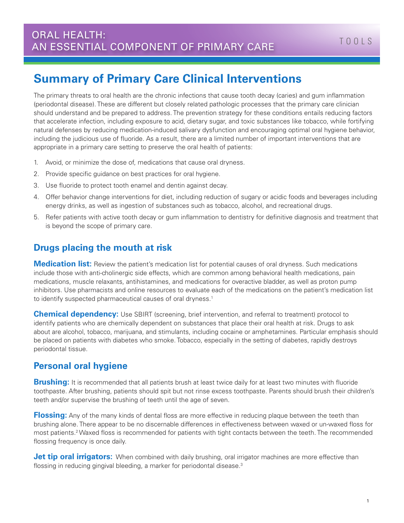# **Summary of Primary Care Clinical Interventions**

The primary threats to oral health are the chronic infections that cause tooth decay (caries) and gum inflammation (periodontal disease). These are different but closely related pathologic processes that the primary care clinician should understand and be prepared to address. The prevention strategy for these conditions entails reducing factors that accelerate infection, including exposure to acid, dietary sugar, and toxic substances like tobacco, while fortifying natural defenses by reducing medication-induced salivary dysfunction and encouraging optimal oral hygiene behavior, including the judicious use of fluoride. As a result, there are a limited number of important interventions that are appropriate in a primary care setting to preserve the oral health of patients:

- 1. Avoid, or minimize the dose of, medications that cause oral dryness.
- 2. Provide specific guidance on best practices for oral hygiene.
- 3. Use fluoride to protect tooth enamel and dentin against decay.
- 4. Offer behavior change interventions for diet, including reduction of sugary or acidic foods and beverages including energy drinks, as well as ingestion of substances such as tobacco, alcohol, and recreational drugs.
- 5. Refer patients with active tooth decay or gum inflammation to dentistry for definitive diagnosis and treatment that is beyond the scope of primary care.

#### **Drugs placing the mouth at risk**

**Medication list:** Review the patient's medication list for potential causes of oral dryness. Such medications include those with anti-cholinergic side effects, which are common among behavioral health medications, pain medications, muscle relaxants, antihistamines, and medications for overactive bladder, as well as proton pump inhibitors. Use pharmacists and online resources to evaluate each of the medications on the patient's medication list to identify suspected pharmaceutical causes of oral dryness.<sup>1</sup>

**Chemical dependency:** Use SBIRT (screening, brief intervention, and referral to treatment) protocol to identify patients who are chemically dependent on substances that place their oral health at risk. Drugs to ask about are alcohol, tobacco, marijuana, and stimulants, including cocaine or amphetamines. Particular emphasis should be placed on patients with diabetes who smoke. Tobacco, especially in the setting of diabetes, rapidly destroys periodontal tissue.

#### **Personal oral hygiene**

**Brushing:** It is recommended that all patients brush at least twice daily for at least two minutes with fluoride toothpaste. After brushing, patients should spit but not rinse excess toothpaste. Parents should brush their children's teeth and/or supervise the brushing of teeth until the age of seven.

**Flossing:** Any of the many kinds of dental floss are more effective in reducing plaque between the teeth than brushing alone. There appear to be no discernable differences in effectiveness between waxed or un-waxed floss for most patients.2 Waxed floss is recommended for patients with tight contacts between the teeth. The recommended flossing frequency is once daily.

**Jet tip oral irrigators:** When combined with daily brushing, oral irrigator machines are more effective than flossing in reducing gingival bleeding, a marker for periodontal disease.<sup>3</sup>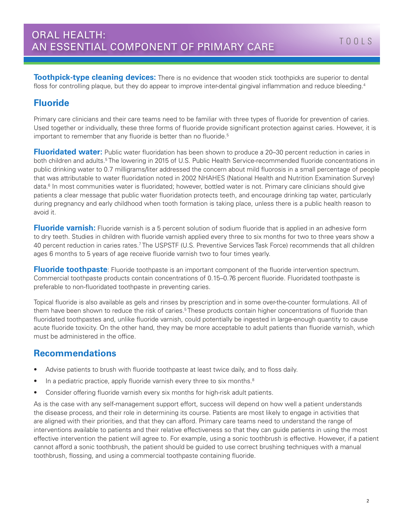**Toothpick-type cleaning devices:** There is no evidence that wooden stick toothpicks are superior to dental floss for controlling plaque, but they do appear to improve inter-dental gingival inflammation and reduce bleeding.<sup>4</sup>

#### **Fluoride**

Primary care clinicians and their care teams need to be familiar with three types of fluoride for prevention of caries. Used together or individually, these three forms of fluoride provide significant protection against caries. However, it is important to remember that any fluoride is better than no fluoride.<sup>5</sup>

**Fluoridated water:** Public water fluoridation has been shown to produce a 20–30 percent reduction in caries in both children and adults.<sup>5</sup>The lowering in 2015 of U.S. Public Health Service-recommended fluoride concentrations in public drinking water to 0.7 milligrams/liter addressed the concern about mild fluorosis in a small percentage of people that was attributable to water fluoridation noted in 2002 NHAHES (National Health and Nutrition Examination Survey) data.<sup>6</sup> In most communities water is fluoridated; however, bottled water is not. Primary care clinicians should give patients a clear message that public water fluoridation protects teeth, and encourage drinking tap water, particularly during pregnancy and early childhood when tooth formation is taking place, unless there is a public health reason to avoid it.

**Fluoride varnish:** Fluoride varnish is a 5 percent solution of sodium fluoride that is applied in an adhesive form to dry teeth. Studies in children with fluoride varnish applied every three to six months for two to three years show a 40 percent reduction in caries rates.7 The USPSTF (U.S. Preventive Services Task Force) recommends that all children ages 6 months to 5 years of age receive fluoride varnish two to four times yearly.

**Fluoride toothpaste**: Fluoride toothpaste is an important component of the fluoride intervention spectrum. Commercial toothpaste products contain concentrations of 0.15–0.76 percent fluoride. Fluoridated toothpaste is preferable to non-fluoridated toothpaste in preventing caries.

Topical fluoride is also available as gels and rinses by prescription and in some over-the-counter formulations. All of them have been shown to reduce the risk of caries.<sup>5</sup> These products contain higher concentrations of fluoride than fluoridated toothpastes and, unlike fluoride varnish, could potentially be ingested in large-enough quantity to cause acute fluoride toxicity. On the other hand, they may be more acceptable to adult patients than fluoride varnish, which must be administered in the office.

#### **Recommendations**

- Advise patients to brush with fluoride toothpaste at least twice daily, and to floss daily.
- In a pediatric practice, apply fluoride varnish every three to six months.<sup>8</sup>
- Consider offering fluoride varnish every six months for high-risk adult patients.

As is the case with any self-management support effort, success will depend on how well a patient understands the disease process, and their role in determining its course. Patients are most likely to engage in activities that are aligned with their priorities, and that they can afford. Primary care teams need to understand the range of interventions available to patients and their relative effectiveness so that they can guide patients in using the most effective intervention the patient will agree to. For example, using a sonic toothbrush is effective. However, if a patient cannot afford a sonic toothbrush, the patient should be guided to use correct brushing techniques with a manual toothbrush, flossing, and using a commercial toothpaste containing fluoride.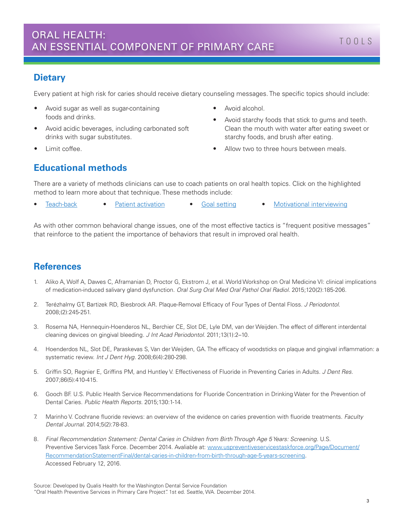#### **Dietary**

Every patient at high risk for caries should receive dietary counseling messages. The specific topics should include:

- Avoid sugar as well as sugar-containing foods and drinks.
- Avoid acidic beverages, including carbonated soft drinks with sugar substitutes.
- Limit coffee.
- Avoid alcohol.
- Avoid starchy foods that stick to gums and teeth. Clean the mouth with water after eating sweet or starchy foods, and brush after eating.
- Allow two to three hours between meals.

# **Educational methods**

There are a variety of methods clinicians can use to coach patients on oral health topics. Click on the highlighted method to learn more about that technique. These methods include:

• [Teach-back](http://www.nchealthliteracy.org/toolkit/tool5.pdf) • [Patient activation](http://www.informedmedicaldecisions.org/what-is-shared-decision-making/) • [Goal setting](https://www.familycarenetwork.com/sites/default/files/Bodenheimer%20Goal%20setting%20review.pdf) • [Motivational interviewing](http://www.motivationalinterviewing.org/)

As with other common behavioral change issues, one of the most effective tactics is "frequent positive messages" that reinforce to the patient the importance of behaviors that result in improved oral health.

### **References**

- 1. Aliko A, Wolf A, Dawes C, Aframanian D, Proctor G, Ekstrom J, et al. World Workshop on Oral Medicine VI: clinical implications of medication-induced salivary gland dysfunction. *Oral Surg Oral Med Oral Pathol Oral Radiol.* 2015;120(2):185-206.
- 2. Terézhalmy GT, Bartizek RD, Biesbrock AR. Plaque-Removal Efficacy of Four Types of Dental Floss. *J Periodontol.* 2008;(2):245-251.
- 3. Rosema NA, Hennequin-Hoenderos NL, Berchier CE, Slot DE, Lyle DM, van der Weijden. The effect of different interdental cleaning devices on gingival bleeding. *J Int Acad Periodontol.* 2011;13(1):2–10.
- 4. Hoenderdos NL, Slot DE, Paraskevas S, Van der Weijden, GA. The efficacy of woodsticks on plaque and gingival inflammation: a systematic review. *Int J Dent Hyg.* 2008;6(4):280-298.
- 5. Griffin SO, Regnier E, Griffins PM, and Huntley V. Effectiveness of Fluoride in Preventing Caries in Adults. *J Dent Res.*  2007;86(5):410-415.
- 6. Gooch BF. U.S. Public Health Service Recommendations for Fluoride Concentration in Drinking Water for the Prevention of Dental Caries. *Public Health Reports.* 2015;130:1-14.
- 7. Marinho V. Cochrane fluoride reviews: an overview of the evidence on caries prevention with fluoride treatments. *Faculty Dental Journal.* 2014;5(2):78-83.
- 8*. Final Recommendation Statement: Dental Caries in Children from Birth Through Age 5 Years: Screening.* U.S. Preventive Services Task Force. December 2014. Avaliable at: [www.uspreventiveservicestaskforce.org/Page/Document/](http://www.uspreventiveservicestaskforce.org/Page/Document/RecommendationStatementFinal/dental-caries-in-children-from-birth-through-age-5-years-screening) [RecommendationStatementFinal/dental-caries-in-children-from-birth-through-age-5-years-screening](http://www.uspreventiveservicestaskforce.org/Page/Document/RecommendationStatementFinal/dental-caries-in-children-from-birth-through-age-5-years-screening). Accessed February 12, 2016.

Source: Developed by Qualis Health for the Washington Dental Service Foundation "Oral Health Preventive Services in Primary Care Project". 1st ed. Seattle, WA. December 2014.